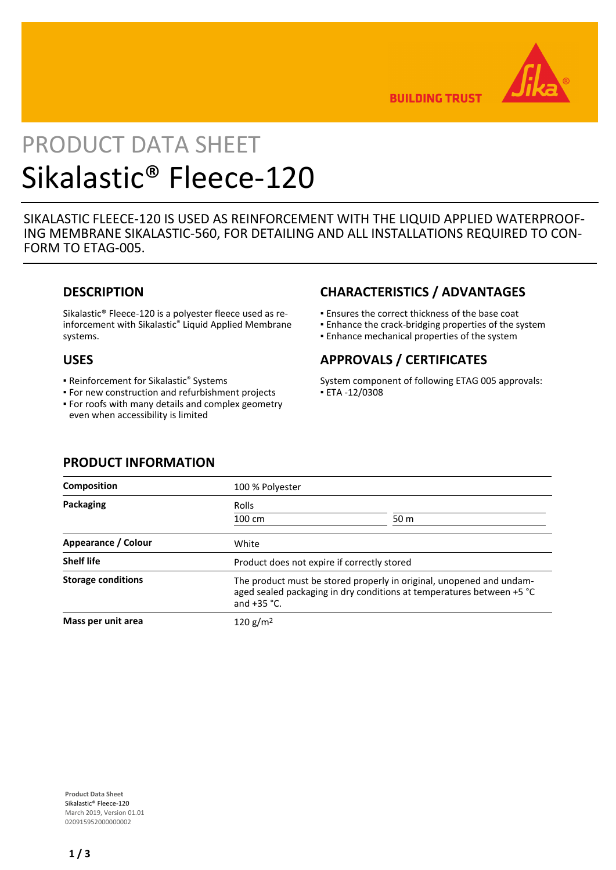

**BUILDING TRUST** 

# PRODUCT DATA SHEET Sikalastic® Fleece-120

SIKALASTIC FLEECE-120 IS USED AS REINFORCEMENT WITH THE LIQUID APPLIED WATERPROOF-ING MEMBRANE SIKALASTIC-560, FOR DETAILING AND ALL INSTALLATIONS REQUIRED TO CON-FORM TO ETAG-005.

## **DESCRIPTION**

Sikalastic® Fleece-120 is a polyester fleece used as reinforcement with Sikalastic® Liquid Applied Membrane systems.

### **USES**

- **Reinforcement for Sikalastic<sup>®</sup> Systems**
- For new construction and refurbishment projects For roofs with many details and complex geometry ▪
- even when accessibility is limited

# **CHARACTERISTICS / ADVANTAGES**

- Ensures the correct thickness of the base coat
- **Enhance the crack-bridging properties of the system**
- **Enhance mechanical properties of the system**

# **APPROVALS / CERTIFICATES**

System component of following ETAG 005 approvals: ▪ ETA -12/0308

| <b>Composition</b>        | 100 % Polyester                                                                                                                                                |                 |
|---------------------------|----------------------------------------------------------------------------------------------------------------------------------------------------------------|-----------------|
| Packaging                 | Rolls                                                                                                                                                          |                 |
|                           | 100 cm                                                                                                                                                         | 50 <sub>m</sub> |
| Appearance / Colour       | White                                                                                                                                                          |                 |
| <b>Shelf life</b>         | Product does not expire if correctly stored                                                                                                                    |                 |
| <b>Storage conditions</b> | The product must be stored properly in original, unopened and undam-<br>aged sealed packaging in dry conditions at temperatures between +5 °C<br>and $+35$ °C. |                 |
| Mass per unit area        | 120 g/m <sup>2</sup>                                                                                                                                           |                 |

## **PRODUCT INFORMATION**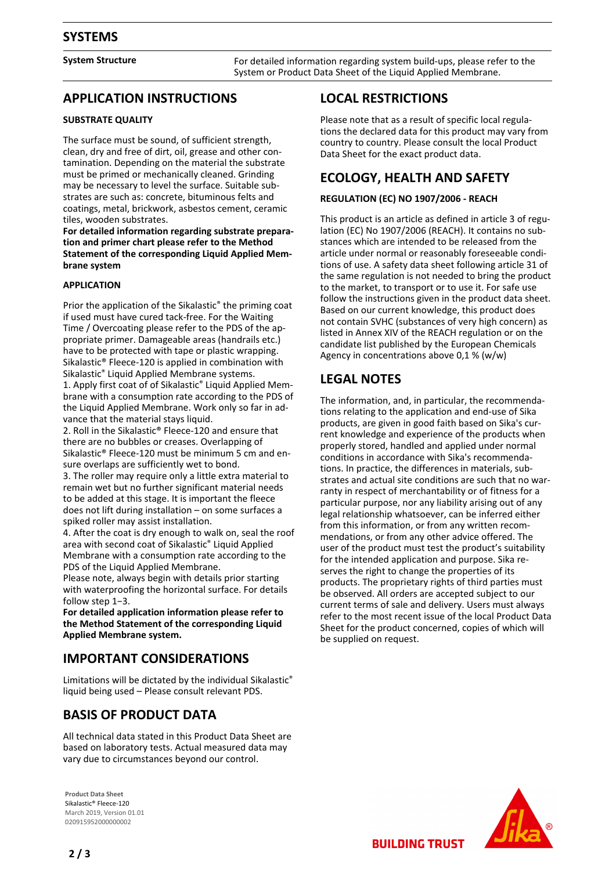**System Structure** For detailed information regarding system build-ups, please refer to the System or Product Data Sheet of the Liquid Applied Membrane.

## **APPLICATION INSTRUCTIONS**

#### **SUBSTRATE QUALITY**

The surface must be sound, of sufficient strength, clean, dry and free of dirt, oil, grease and other contamination. Depending on the material the substrate must be primed or mechanically cleaned. Grinding may be necessary to level the surface. Suitable substrates are such as: concrete, bituminous felts and coatings, metal, brickwork, asbestos cement, ceramic tiles, wooden substrates.

**For detailed information regarding substrate preparation and primer chart please refer to the Method Statement of the corresponding Liquid Applied Membrane system**

#### **APPLICATION**

Prior the application of the Sikalastic® the priming coat if used must have cured tack-free. For the Waiting Time / Overcoating please refer to the PDS of the appropriate primer. Damageable areas (handrails etc.) have to be protected with tape or plastic wrapping. Sikalastic® Fleece-120 is applied in combination with Sikalastic® Liquid Applied Membrane systems. 1. Apply first coat of of Sikalastic® Liquid Applied Membrane with a consumption rate according to the PDS of the Liquid Applied Membrane. Work only so far in advance that the material stays liquid.

2. Roll in the Sikalastic® Fleece-120 and ensure that there are no bubbles or creases. Overlapping of Sikalastic® Fleece-120 must be minimum 5 cm and ensure overlaps are sufficiently wet to bond.

3. The roller may require only a little extra material to remain wet but no further significant material needs to be added at this stage. It is important the fleece does not lift during installation – on some surfaces a spiked roller may assist installation.

4. After the coat is dry enough to walk on, seal the roof area with second coat of Sikalastic® Liquid Applied Membrane with a consumption rate according to the PDS of the Liquid Applied Membrane.

Please note, always begin with details prior starting with waterproofing the horizontal surface. For details follow step 1−3.

**For detailed application information please refer to the Method Statement of the corresponding Liquid Applied Membrane system.**

## **IMPORTANT CONSIDERATIONS**

Limitations will be dictated by the individual Sikalastic® liquid being used – Please consult relevant PDS.

## **BASIS OF PRODUCT DATA**

All technical data stated in this Product Data Sheet are based on laboratory tests. Actual measured data may vary due to circumstances beyond our control.

**Product Data Sheet** Sikalastic® Fleece-120 March 2019, Version 01.01 020915952000000002

## **LOCAL RESTRICTIONS**

Please note that as a result of specific local regulations the declared data for this product may vary from country to country. Please consult the local Product Data Sheet for the exact product data.

## **ECOLOGY, HEALTH AND SAFETY**

#### **REGULATION (EC) NO 1907/2006 - REACH**

This product is an article as defined in article 3 of regulation (EC) No 1907/2006 (REACH). It contains no substances which are intended to be released from the article under normal or reasonably foreseeable conditions of use. A safety data sheet following article 31 of the same regulation is not needed to bring the product to the market, to transport or to use it. For safe use follow the instructions given in the product data sheet. Based on our current knowledge, this product does not contain SVHC (substances of very high concern) as listed in Annex XIV of the REACH regulation or on the candidate list published by the European Chemicals Agency in concentrations above 0,1 % (w/w)

# **LEGAL NOTES**

The information, and, in particular, the recommendations relating to the application and end-use of Sika products, are given in good faith based on Sika's current knowledge and experience of the products when properly stored, handled and applied under normal conditions in accordance with Sika's recommendations. In practice, the differences in materials, substrates and actual site conditions are such that no warranty in respect of merchantability or of fitness for a particular purpose, nor any liability arising out of any legal relationship whatsoever, can be inferred either from this information, or from any written recommendations, or from any other advice offered. The user of the product must test the product's suitability for the intended application and purpose. Sika reserves the right to change the properties of its products. The proprietary rights of third parties must be observed. All orders are accepted subject to our current terms of sale and delivery. Users must always refer to the most recent issue of the local Product Data Sheet for the product concerned, copies of which will be supplied on request.